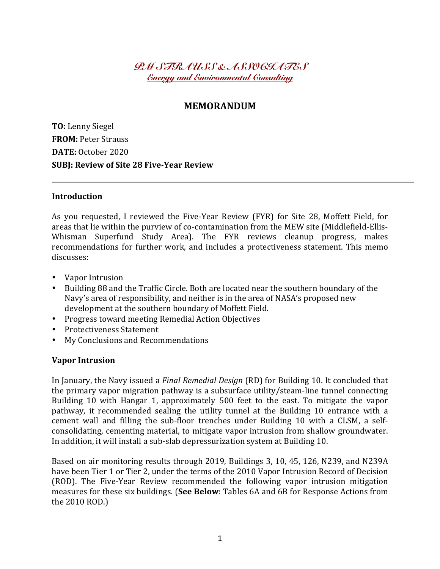*PM STRAUSS & ASSOCIATES Energy and Environmental Consulting*

# **MEMORANDUM**

**TO:** Lenny Siegel **FROM: Peter Strauss DATE:** October 2020 **SUBJ: Review of Site 28 Five-Year Review**

#### **Introduction**

As you requested, I reviewed the Five-Year Review (FYR) for Site 28, Moffett Field, for areas that lie within the purview of co-contamination from the MEW site (Middlefield-Ellis-Whisman Superfund Study Area). The FYR reviews cleanup progress, makes recommendations for further work, and includes a protectiveness statement. This memo discusses:

- Vapor Intrusion
- Building 88 and the Traffic Circle. Both are located near the southern boundary of the Navy's area of responsibility, and neither is in the area of NASA's proposed new development at the southern boundary of Moffett Field.
- Progress toward meeting Remedial Action Objectives
- Protectiveness Statement
- My Conclusions and Recommendations

#### **Vapor Intrusion**

In January, the Navy issued a *Final Remedial Design* (RD) for Building 10. It concluded that the primary vapor migration pathway is a subsurface utility/steam-line tunnel connecting Building 10 with Hangar 1, approximately 500 feet to the east. To mitigate the vapor pathway, it recommended sealing the utility tunnel at the Building 10 entrance with a cement wall and filling the sub-floor trenches under Building 10 with a CLSM, a selfconsolidating, cementing material, to mitigate vapor intrusion from shallow groundwater. In addition, it will install a sub-slab depressurization system at Building 10.

Based on air monitoring results through 2019, Buildings 3, 10, 45, 126, N239, and N239A have been Tier 1 or Tier 2, under the terms of the 2010 Vapor Intrusion Record of Decision (ROD). The Five-Year Review recommended the following vapor intrusion mitigation measures for these six buildings. (See Below: Tables 6A and 6B for Response Actions from the 2010 ROD.)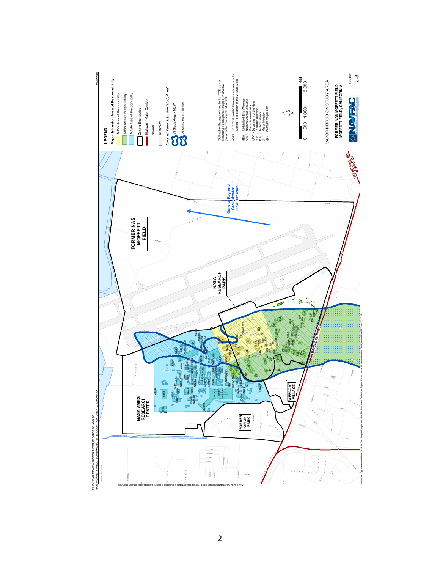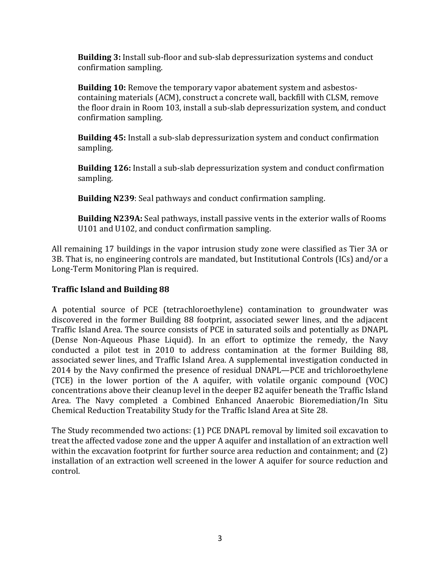**Building 3:** Install sub-floor and sub-slab depressurization systems and conduct confirmation sampling.

**Building 10:** Remove the temporary vapor abatement system and asbestoscontaining materials (ACM), construct a concrete wall, backfill with CLSM, remove the floor drain in Room 103, install a sub-slab depressurization system, and conduct confirmation sampling.

**Building 45:** Install a sub-slab depressurization system and conduct confirmation sampling.

**Building 126:** Install a sub-slab depressurization system and conduct confirmation sampling.

**Building N239:** Seal pathways and conduct confirmation sampling.

**Building N239A:** Seal pathways, install passive vents in the exterior walls of Rooms U101 and U102, and conduct confirmation sampling.

All remaining 17 buildings in the vapor intrusion study zone were classified as Tier 3A or 3B. That is, no engineering controls are mandated, but Institutional Controls (ICs) and/or a Long-Term Monitoring Plan is required.

## **Traffic Island and Building 88**

A potential source of PCE (tetrachloroethylene) contamination to groundwater was discovered in the former Building 88 footprint, associated sewer lines, and the adjacent Traffic Island Area. The source consists of PCE in saturated soils and potentially as DNAPL (Dense Non-Aqueous Phase Liquid). In an effort to optimize the remedy, the Navy conducted a pilot test in 2010 to address contamination at the former Building 88, associated sewer lines, and Traffic Island Area. A supplemental investigation conducted in 2014 by the Navy confirmed the presence of residual DNAPL—PCE and trichloroethylene (TCE) in the lower portion of the A aquifer, with volatile organic compound  $(VOC)$ concentrations above their cleanup level in the deeper B2 aquifer beneath the Traffic Island Area. The Navy completed a Combined Enhanced Anaerobic Bioremediation/In Situ Chemical Reduction Treatability Study for the Traffic Island Area at Site 28.

The Study recommended two actions: (1) PCE DNAPL removal by limited soil excavation to treat the affected vadose zone and the upper A aquifer and installation of an extraction well within the excavation footprint for further source area reduction and containment; and  $(2)$ installation of an extraction well screened in the lower A aquifer for source reduction and control.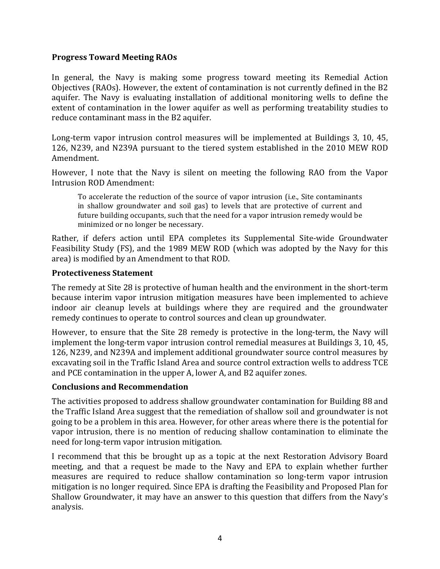### **Progress Toward Meeting RAOs**

In general, the Navy is making some progress toward meeting its Remedial Action Objectives (RAOs). However, the extent of contamination is not currently defined in the B2 aquifer. The Navy is evaluating installation of additional monitoring wells to define the extent of contamination in the lower aquifer as well as performing treatability studies to reduce contaminant mass in the B2 aquifer.

Long-term vapor intrusion control measures will be implemented at Buildings 3, 10, 45, 126, N239, and N239A pursuant to the tiered system established in the 2010 MEW ROD Amendment. 

However, I note that the Navy is silent on meeting the following RAO from the Vapor Intrusion ROD Amendment:

To accelerate the reduction of the source of vapor intrusion (i.e., Site contaminants in shallow groundwater and soil gas) to levels that are protective of current and future building occupants, such that the need for a vapor intrusion remedy would be minimized or no longer be necessary.

Rather, if defers action until EPA completes its Supplemental Site-wide Groundwater Feasibility Study (FS), and the 1989 MEW ROD (which was adopted by the Navy for this area) is modified by an Amendment to that ROD.

#### **Protectiveness Statement**

The remedy at Site 28 is protective of human health and the environment in the short-term because interim vapor intrusion mitigation measures have been implemented to achieve indoor air cleanup levels at buildings where they are required and the groundwater remedy continues to operate to control sources and clean up groundwater.

However, to ensure that the Site 28 remedy is protective in the long-term, the Navy will implement the long-term vapor intrusion control remedial measures at Buildings 3, 10, 45, 126, N239, and N239A and implement additional groundwater source control measures by excavating soil in the Traffic Island Area and source control extraction wells to address TCE and PCE contamination in the upper A, lower A, and B2 aquifer zones.

### **Conclusions and Recommendation**

The activities proposed to address shallow groundwater contamination for Building 88 and the Traffic Island Area suggest that the remediation of shallow soil and groundwater is not going to be a problem in this area. However, for other areas where there is the potential for vapor intrusion, there is no mention of reducing shallow contamination to eliminate the need for long-term vapor intrusion mitigation.

I recommend that this be brought up as a topic at the next Restoration Advisory Board meeting, and that a request be made to the Navy and EPA to explain whether further measures are required to reduce shallow contamination so long-term vapor intrusion mitigation is no longer required. Since EPA is drafting the Feasibility and Proposed Plan for Shallow Groundwater, it may have an answer to this question that differs from the Navy's analysis.